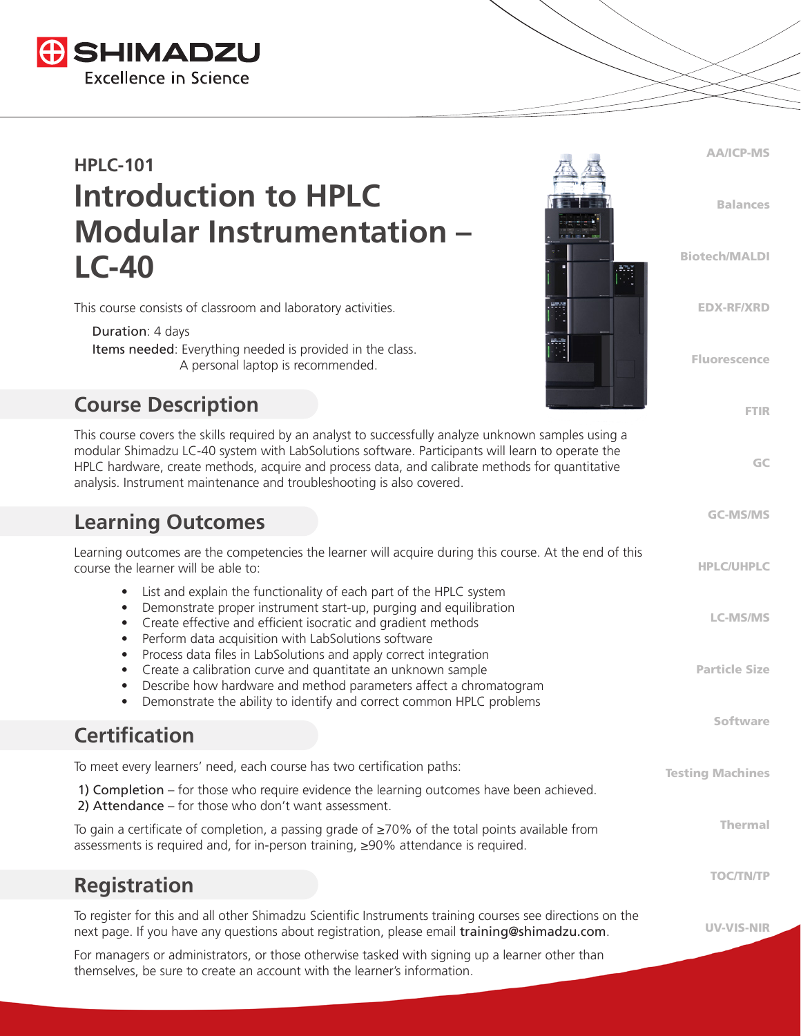

# **HPLC-101 Introduction to HPLC Modular Instrumentation – LC-40**

This course consists of classroom and laboratory activities.

 Duration: 4 days Items needed: Everything needed is provided in the class. A personal laptop is recommended.

#### **Course Description**

This course covers the skills required by an analyst to successfully analyze unknown samples using a modular Shimadzu LC-40 system with LabSolutions software. Participants will learn to operate the HPLC hardware, create methods, acquire and process data, and calibrate methods for quantitative analysis. Instrument maintenance and troubleshooting is also covered.

#### **Learning Outcomes**

| Learning outcomes are the competencies the learner will acquire during this course. At the end of this<br>course the learner will be able to:                                                                                                                                                                            | <b>HPLC/UHPLC</b>       |
|--------------------------------------------------------------------------------------------------------------------------------------------------------------------------------------------------------------------------------------------------------------------------------------------------------------------------|-------------------------|
| List and explain the functionality of each part of the HPLC system<br>$\bullet$<br>Demonstrate proper instrument start-up, purging and equilibration<br>$\bullet$<br>Create effective and efficient isocratic and gradient methods<br>$\bullet$<br>Perform data acquisition with LabSolutions software<br>$\bullet$      | <b>LC-MS/MS</b>         |
| Process data files in LabSolutions and apply correct integration<br>$\bullet$<br>Create a calibration curve and quantitate an unknown sample<br>٠<br>Describe how hardware and method parameters affect a chromatogram<br>$\bullet$<br>Demonstrate the ability to identify and correct common HPLC problems<br>$\bullet$ | <b>Particle Size</b>    |
| <b>Certification</b>                                                                                                                                                                                                                                                                                                     | <b>Software</b>         |
| To meet every learners' need, each course has two certification paths:                                                                                                                                                                                                                                                   | <b>Testing Machines</b> |
| 1) Completion – for those who require evidence the learning outcomes have been achieved.<br>2) Attendance - for those who don't want assessment.                                                                                                                                                                         |                         |
| To gain a certificate of completion, a passing grade of $\geq$ 70% of the total points available from<br>assessments is required and, for in-person training, ≥90% attendance is required.                                                                                                                               | <b>Thermal</b>          |
| <b>Registration</b>                                                                                                                                                                                                                                                                                                      | <b>TOC/TN/TP</b>        |
| To register for this and all other Shimadzu Scientific Instruments training courses see directions on the<br>next page. If you have any questions about registration, please email training@shimadzu.com.                                                                                                                | <b>UV-VIS-NIR</b>       |
| For managers or administrators, or those otherwise tasked with signing up a learner other than                                                                                                                                                                                                                           |                         |

AA/ICP-MS Balances Biotech/MALDI EDX-RF/XRD Fluorescence

FTIR

GC

GC-MS/MS

themselves, be sure to create an account with the learner's information.